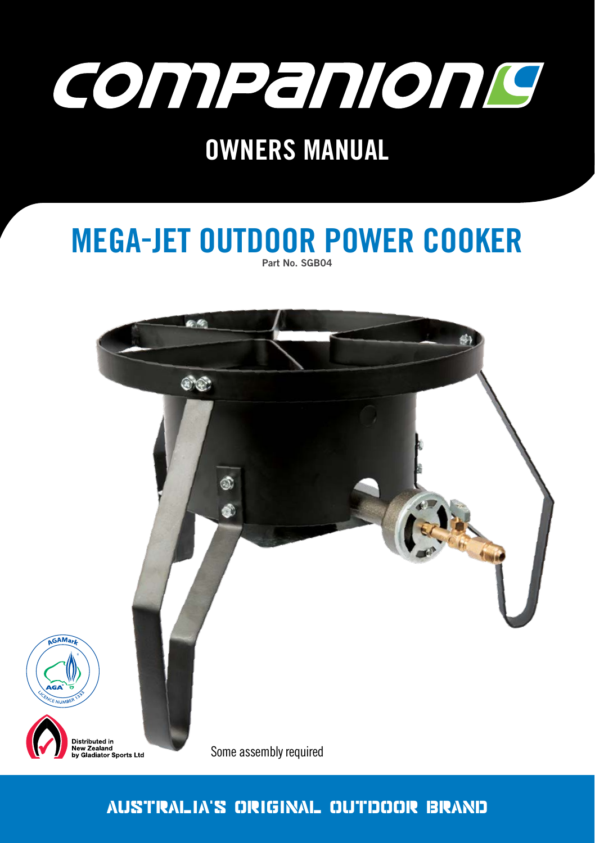

### Part No. SGB04 **MEGA-JET OUTDOOR POWER COOKER**



### Australia's original Outdoor brand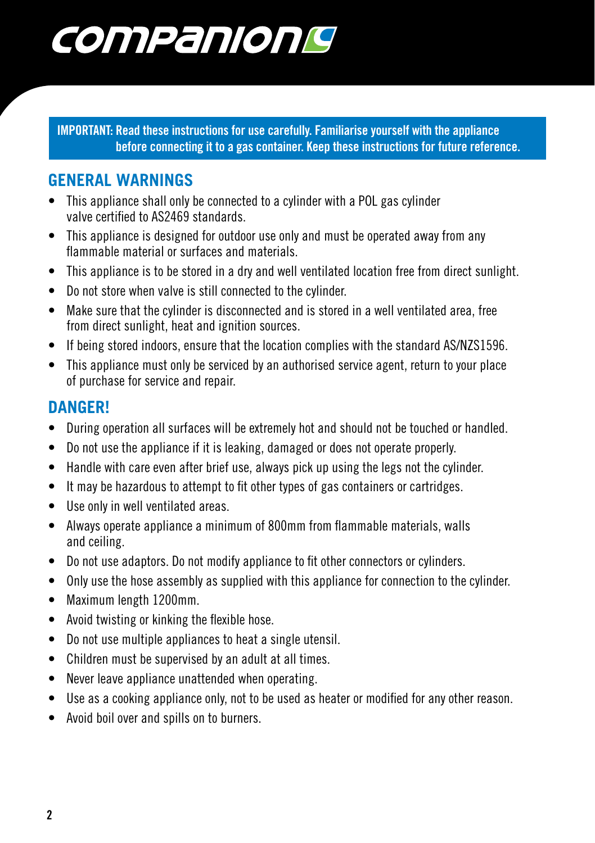# companionis

**IMPORTANT: Read these instructions for use carefully. Familiarise yourself with the appliance before connecting it to a gas container. Keep these instructions for future reference.** 

#### **GENERAL WARNINGS**

- This appliance shall only be connected to a cylinder with a POL gas cylinder valve certified to AS2469 standards.
- This appliance is designed for outdoor use only and must be operated away from any flammable material or surfaces and materials.
- This appliance is to be stored in a dry and well ventilated location free from direct sunlight.
- Do not store when valve is still connected to the cylinder.
- Make sure that the cylinder is disconnected and is stored in a well ventilated area, free from direct sunlight, heat and ignition sources.
- If being stored indoors, ensure that the location complies with the standard AS/NZS1596.
- This appliance must only be serviced by an authorised service agent, return to your place of purchase for service and repair.

#### **DANGER!**

- During operation all surfaces will be extremely hot and should not be touched or handled.
- Do not use the appliance if it is leaking, damaged or does not operate properly.
- Handle with care even after brief use, always pick up using the legs not the cylinder.
- It may be hazardous to attempt to fit other types of gas containers or cartridges.
- Use only in well ventilated areas.
- Always operate appliance a minimum of 800mm from flammable materials, walls and ceiling.
- Do not use adaptors. Do not modify appliance to fit other connectors or cylinders.
- Only use the hose assembly as supplied with this appliance for connection to the cylinder.
- Maximum length 1200mm.
- Avoid twisting or kinking the flexible hose.
- Do not use multiple appliances to heat a single utensil.
- Children must be supervised by an adult at all times.
- Never leave appliance unattended when operating.
- Use as a cooking appliance only, not to be used as heater or modified for any other reason.
- Avoid boil over and spills on to burners.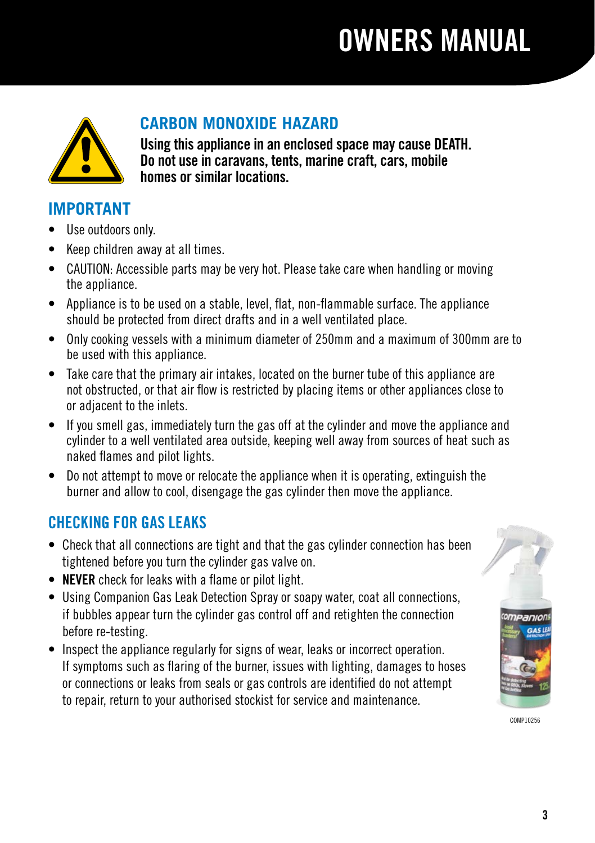

### **CARBON MONOXIDE HAZARD**

**Using this appliance in an enclosed space may cause DEATH. Do not use in caravans, tents, marine craft, cars, mobile homes or similar locations.**

#### **IMPORTANT**

- Use outdoors only.
- Keep children away at all times.
- CAUTION: Accessible parts may be very hot. Please take care when handling or moving the appliance.
- Appliance is to be used on a stable, level, flat, non-flammable surface. The appliance should be protected from direct drafts and in a well ventilated place.
- Only cooking vessels with a minimum diameter of 250mm and a maximum of 300mm are to be used with this appliance.
- Take care that the primary air intakes, located on the burner tube of this appliance are not obstructed, or that air flow is restricted by placing items or other appliances close to or adjacent to the inlets.
- If you smell gas, immediately turn the gas off at the cylinder and move the appliance and cylinder to a well ventilated area outside, keeping well away from sources of heat such as naked flames and pilot lights.
- Do not attempt to move or relocate the appliance when it is operating, extinguish the burner and allow to cool, disengage the gas cylinder then move the appliance.

#### CHECKING FOR GAS LEAKS

- Check that all connections are tight and that the gas cylinder connection has been tightened before you turn the cylinder gas valve on.
- **NEVER** check for leaks with a flame or pilot light.
- Using Companion Gas Leak Detection Spray or soapy water, coat all connections, if bubbles appear turn the cylinder gas control off and retighten the connection before re-testing.
- Inspect the appliance regularly for signs of wear, leaks or incorrect operation. If symptoms such as flaring of the burner, issues with lighting, damages to hoses or connections or leaks from seals or gas controls are identified do not attempt to repair, return to your authorised stockist for service and maintenance.



COMP10256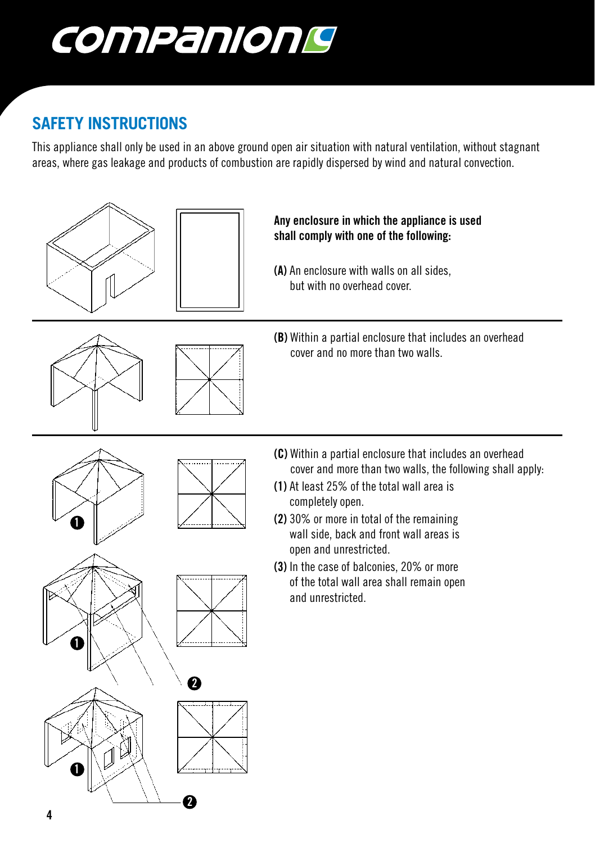

### **SAFETY INSTRUCTIONS**

This appliance shall only be used in an above ground open air situation with natural ventilation, without stagnant areas, where gas leakage and products of combustion are rapidly dispersed by wind and natural convection.





**(A)** An enclosure with walls on all sides, but with no overhead cover.





**(B)** Within a partial enclosure that includes an overhead cover and no more than two walls.

**1**



- **(C)** Within a partial enclosure that includes an overhead cover and more than two walls, the following shall apply:
- **(1)** At least 25% of the total wall area is completely open.
- **(2)** 30% or more in total of the remaining wall side, back and front wall areas is open and unrestricted.
- **(3)** In the case of balconies, 20% or more of the total wall area shall remain open and unrestricted.

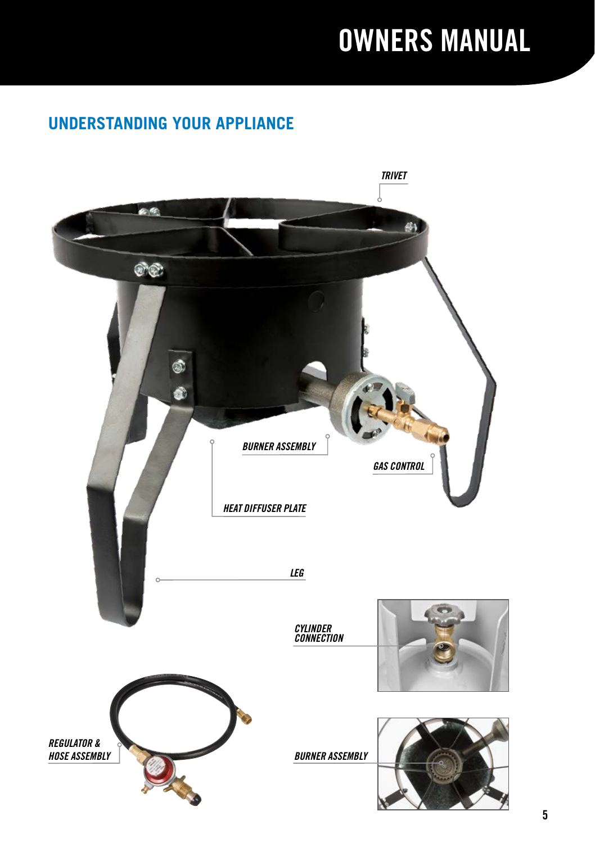#### **UNDERSTANDING YOUR APPLIANCE**

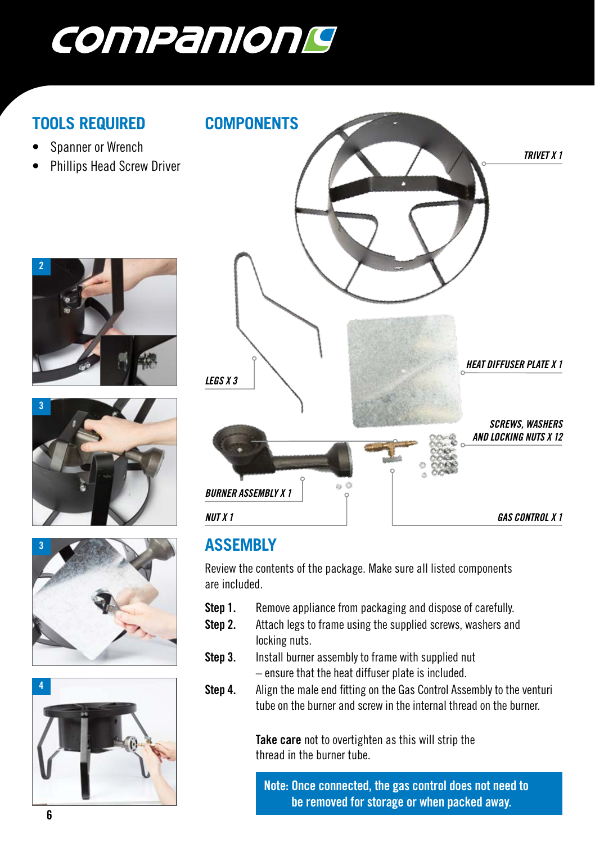

#### **TOOLS REQUIRED**

- Spanner or Wrench
- Phillips Head Screw Driver











#### **ASSEMBLY**

Review the contents of the package. Make sure all listed components are included.

- **Step 1.** Remove appliance from packaging and dispose of carefully.
- **Step 2.** Attach legs to frame using the supplied screws, washers and locking nuts.
- **Step 3.** Install burner assembly to frame with supplied nut – ensure that the heat diffuser plate is included.
- **Step 4.** Align the male end fitting on the Gas Control Assembly to the venturi tube on the burner and screw in the internal thread on the burner.

**Take care** not to overtighten as this will strip the thread in the burner tube.

**Note: Once connected, the gas control does not need to be removed for storage or when packed away.**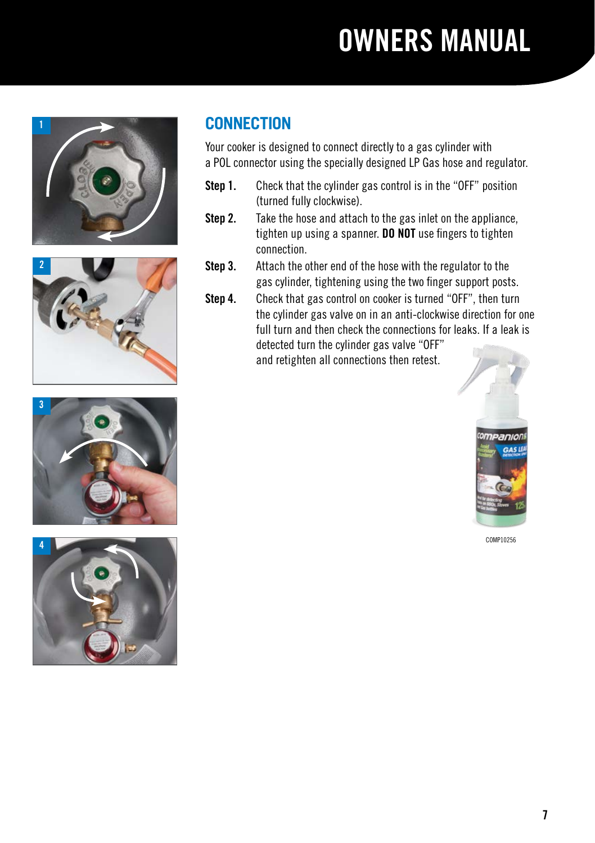







#### **CONNECTION**

Your cooker is designed to connect directly to a gas cylinder with a POL connector using the specially designed LP Gas hose and regulator.

- **Step 1.** Check that the cylinder gas control is in the "OFF" position (turned fully clockwise).
- **Step 2.** Take the hose and attach to the gas inlet on the appliance, tighten up using a spanner. **DO NOT** use fingers to tighten connection.
- **Step 3.** Attach the other end of the hose with the regulator to the gas cylinder, tightening using the two finger support posts.
- **Step 4.** Check that gas control on cooker is turned "OFF", then turn the cylinder gas valve on in an anti-clockwise direction for one full turn and then check the connections for leaks. If a leak is detected turn the cylinder gas valve "OFF" and retighten all connections then retest.



COMP10256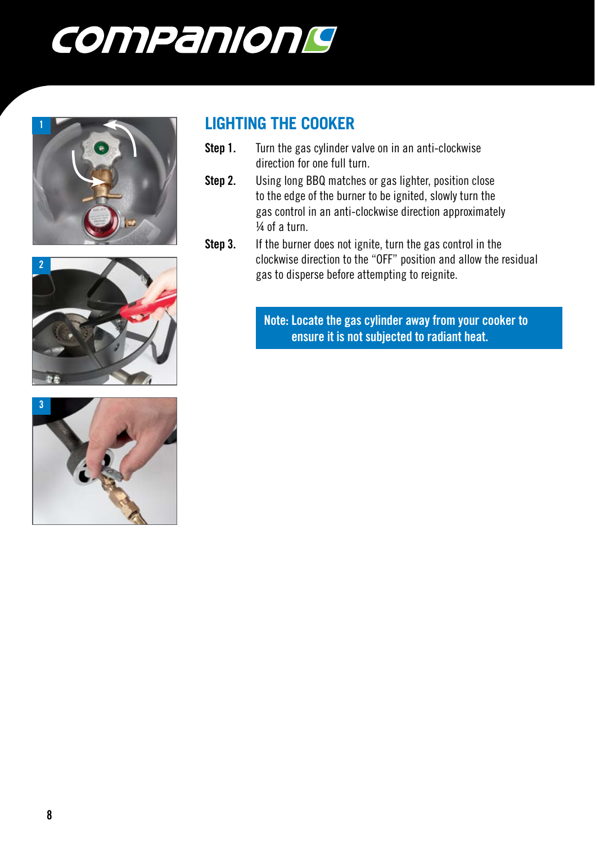







#### **LIGHTING THE COOKER**

- **Step 1.** Turn the gas cylinder valve on in an anti-clockwise direction for one full turn.
- **Step 2.** Using long BBQ matches or gas lighter, position close to the edge of the burner to be ignited, slowly turn the gas control in an anti-clockwise direction approximately ¼ of a turn.
- **Step 3.** If the burner does not ignite, turn the gas control in the clockwise direction to the "OFF" position and allow the residual gas to disperse before attempting to reignite.

**Note: Locate the gas cylinder away from your cooker to ensure it is not subjected to radiant heat.**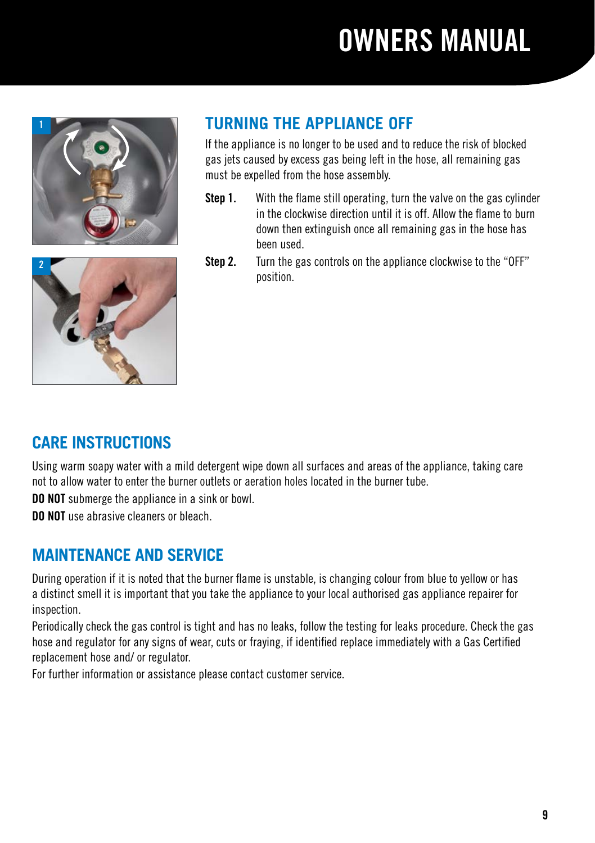



### **TURNING THE APPLIANCE OFF**

If the appliance is no longer to be used and to reduce the risk of blocked gas jets caused by excess gas being left in the hose, all remaining gas must be expelled from the hose assembly.

- **Step 1.** With the flame still operating, turn the valve on the gas cylinder in the clockwise direction until it is off. Allow the flame to burn down then extinguish once all remaining gas in the hose has been used.
- **Step 2.** Turn the gas controls on the appliance clockwise to the "OFF" position.

#### **CARE INSTRUCTIONS**

Using warm soapy water with a mild detergent wipe down all surfaces and areas of the appliance, taking care not to allow water to enter the burner outlets or aeration holes located in the burner tube.

**DO NOT** submerge the appliance in a sink or bowl.

**DO NOT** use abrasive cleaners or bleach.

#### **MAINTENANCE AND SERVICE**

During operation if it is noted that the burner flame is unstable, is changing colour from blue to yellow or has a distinct smell it is important that you take the appliance to your local authorised gas appliance repairer for inspection.

Periodically check the gas control is tight and has no leaks, follow the testing for leaks procedure. Check the gas hose and regulator for any signs of wear, cuts or fraying, if identified replace immediately with a Gas Certified replacement hose and/ or regulator.

For further information or assistance please contact customer service.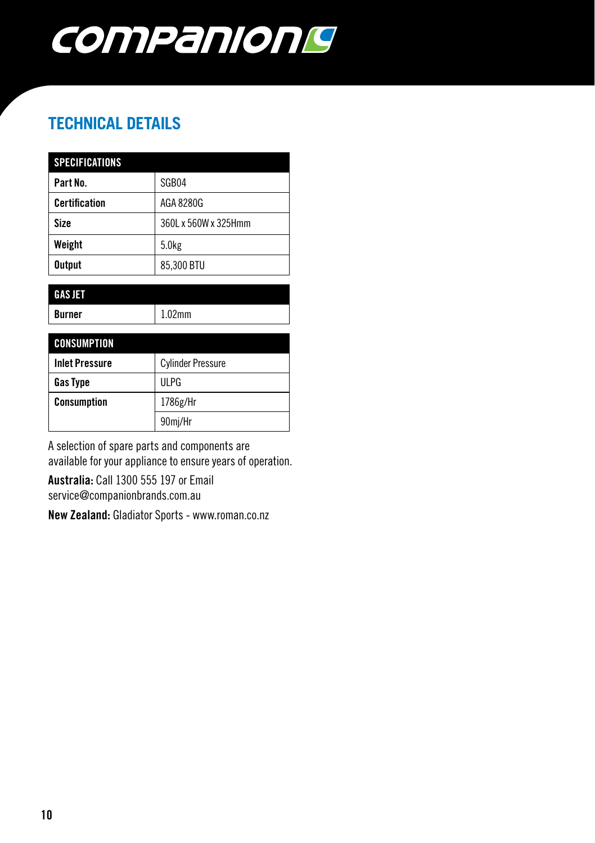

### **TECHNICAL DETAILS**

| <b>SPECIFICATIONS</b> |                      |
|-----------------------|----------------------|
| Part No.              | SGB04                |
| <b>Certification</b>  | AGA 8280G            |
| <b>Size</b>           | 360L x 560W x 325Hmm |
| Weight                | 5.0 <sub>kg</sub>    |
| <b>Output</b>         | 85,300 BTU           |

| <b>GAS JET</b> |       |
|----------------|-------|
| <b>Burner</b>  | .02mm |
|                |       |

| <b>CONSUMPTION</b>    |                          |
|-----------------------|--------------------------|
| <b>Inlet Pressure</b> | <b>Cylinder Pressure</b> |
| Gas Type              | UI PG                    |
| Consumption           | 1786g/Hr                 |
|                       | 90mj/Hr                  |

A selection of spare parts and components are available for your appliance to ensure years of operation.

Australia: Call 1300 555 197 or Email service@companionbrands.com.au

New Zealand: Gladiator Sports - www.roman.co.nz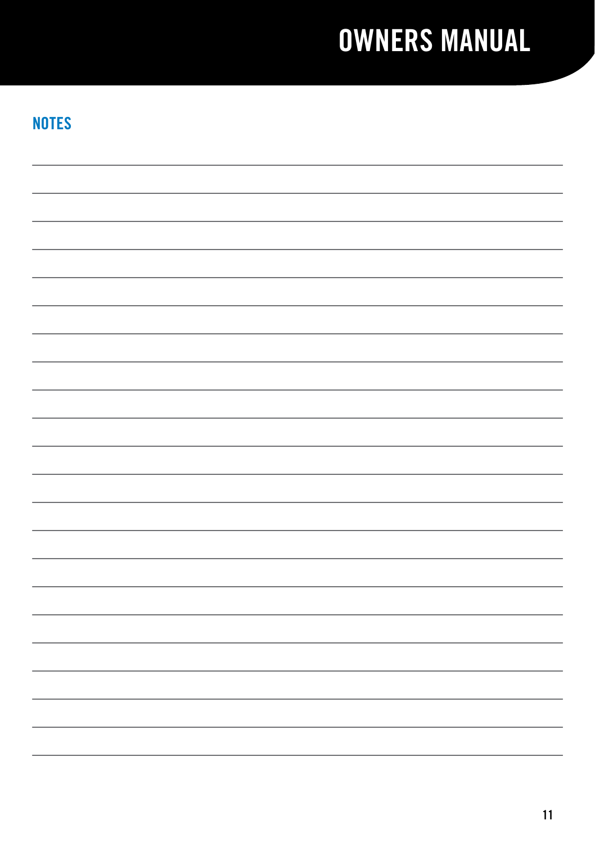#### **NOTES**